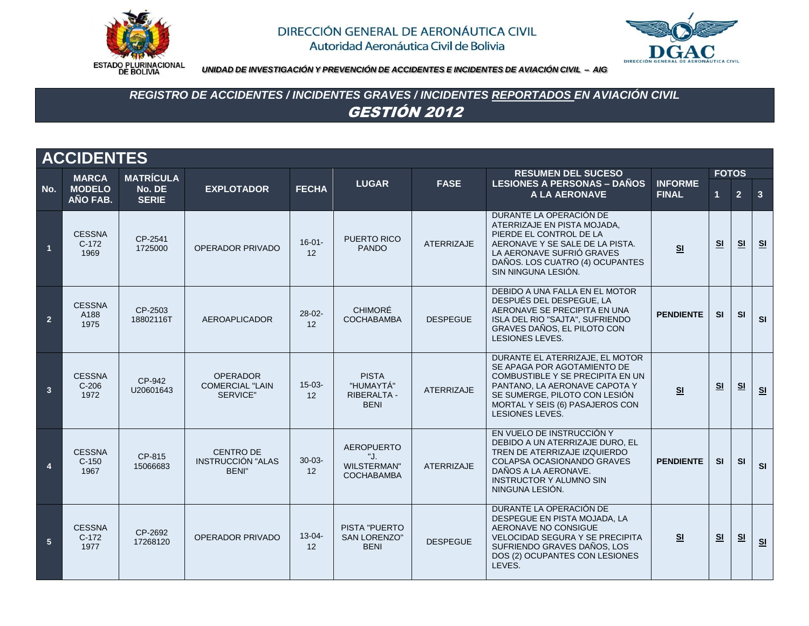



*UNIDAD DE INVESTIGACIÓN Y PREVENCIÓN DE ACCIDENTES E INCIDENTES DE AVIACIÓN CIVIL – AIG*

# *REGISTRO DE ACCIDENTES / INCIDENTES GRAVES / INCIDENTES REPORTADOS EN AVIACIÓN CIVIL* GESTIÓN 2012

|                        | <b>ACCIDENTES</b>                |                        |                                                              |                   |                                                                     |                   |                                                                                                                                                                                                                                   |                                |                      |                |                         |  |  |  |
|------------------------|----------------------------------|------------------------|--------------------------------------------------------------|-------------------|---------------------------------------------------------------------|-------------------|-----------------------------------------------------------------------------------------------------------------------------------------------------------------------------------------------------------------------------------|--------------------------------|----------------------|----------------|-------------------------|--|--|--|
|                        | <b>MARCA</b>                     | <b>MATRÍCULA</b>       |                                                              |                   |                                                                     |                   | <b>RESUMEN DEL SUCESO</b>                                                                                                                                                                                                         |                                | <b>FOTOS</b>         |                |                         |  |  |  |
| No.                    | <b>MODELO</b><br>AÑO FAB.        | No. DE<br><b>SERIE</b> | <b>EXPLOTADOR</b>                                            | <b>FECHA</b>      | <b>LUGAR</b>                                                        | <b>FASE</b>       | <b>LESIONES A PERSONAS - DAÑOS</b><br>A LA AERONAVE                                                                                                                                                                               | <b>INFORME</b><br><b>FINAL</b> | $\blacktriangleleft$ | 2 <sup>1</sup> | $\overline{\mathbf{3}}$ |  |  |  |
| $\overline{1}$         | <b>CESSNA</b><br>$C-172$<br>1969 | CP-2541<br>1725000     | OPERADOR PRIVADO                                             | $16 - 01 -$<br>12 | PUERTO RICO<br><b>PANDO</b>                                         | <b>ATERRIZAJE</b> | DURANTE LA OPERACIÓN DE<br>ATERRIZAJE EN PISTA MOJADA,<br>PIERDE EL CONTROL DE LA<br>AERONAVE Y SE SALE DE LA PISTA.<br>LA AERONAVE SUFRIÓ GRAVES<br>DAÑOS. LOS CUATRO (4) OCUPANTES<br>SIN NINGUNA LESIÓN.                       | S <sub>1</sub>                 | <u>SI</u>            | S <sub>1</sub> | S <sub>1</sub>          |  |  |  |
| $\overline{2}$         | <b>CESSNA</b><br>A188<br>1975    | CP-2503<br>18802116T   | AEROAPLICADOR                                                | $28 - 02 -$<br>12 | <b>CHIMORÉ</b><br><b>COCHABAMBA</b>                                 | <b>DESPEGUE</b>   | DEBIDO A UNA FALLA EN EL MOTOR<br>DESPUÉS DEL DESPEGUE, LA<br>AERONAVE SE PRECIPITA EN UNA<br>ISLA DEL RIO "SAJTA", SUFRIENDO<br>GRAVES DAÑOS, EL PILOTO CON<br><b>LESIONES LEVES.</b>                                            | <b>PENDIENTE</b>               | SI                   | SI             | SI                      |  |  |  |
| $\overline{3}$         | <b>CESSNA</b><br>$C-206$<br>1972 | CP-942<br>U20601643    | <b>OPERADOR</b><br><b>COMERCIAL "LAIN</b><br>SERVICE"        | $15 - 03 -$<br>12 | <b>PISTA</b><br>"HUMAYTÁ"<br>RIBERALTA -<br><b>BENI</b>             | <b>ATERRIZAJE</b> | DURANTE EL ATERRIZAJE. EL MOTOR<br>SE APAGA POR AGOTAMIENTO DE<br>COMBUSTIBLE Y SE PRECIPITA EN UN<br>PANTANO, LA AERONAVE CAPOTA Y<br>SE SUMERGE, PILOTO CON LESIÓN<br>MORTAL Y SEIS (6) PASAJEROS CON<br><b>LESIONES LEVES.</b> | S <sub>1</sub>                 | S1                   | S1             | S <sub>1</sub>          |  |  |  |
| $\boldsymbol{\Lambda}$ | <b>CESSNA</b><br>$C-150$<br>1967 | CP-815<br>15066683     | <b>CENTRO DE</b><br><b>INSTRUCCIÓN "ALAS</b><br><b>BENI"</b> | $30 - 03 -$<br>12 | <b>AEROPUERTO</b><br>"J.<br><b>WILSTERMAN"</b><br><b>COCHABAMBA</b> | <b>ATERRIZAJE</b> | EN VUELO DE INSTRUCCIÓN Y<br>DEBIDO A UN ATERRIZAJE DURO. EL<br>TREN DE ATERRIZAJE IZQUIERDO<br>COLAPSA OCASIONANDO GRAVES<br>DAÑOS A LA AERONAVE.<br><b>INSTRUCTOR Y ALUMNO SIN</b><br>NINGUNA LESIÓN.                           | <b>PENDIENTE</b>               | <b>SI</b>            | <b>SI</b>      | SI                      |  |  |  |
| 5 <sup>5</sup>         | <b>CESSNA</b><br>$C-172$<br>1977 | CP-2692<br>17268120    | OPERADOR PRIVADO                                             | $13 - 04 -$<br>12 | PISTA "PUERTO<br><b>SAN LORENZO"</b><br><b>BENI</b>                 | <b>DESPEGUE</b>   | DURANTE LA OPERACIÓN DE<br>DESPEGUE EN PISTA MOJADA, LA<br>AERONAVE NO CONSIGUE<br><b>VELOCIDAD SEGURA Y SE PRECIPITA</b><br>SUFRIENDO GRAVES DAÑOS. LOS<br>DOS (2) OCUPANTES CON LESIONES<br>LEVES.                              | S <sub>1</sub>                 | S <sub>1</sub>       | S <sub>1</sub> | S <sub>1</sub>          |  |  |  |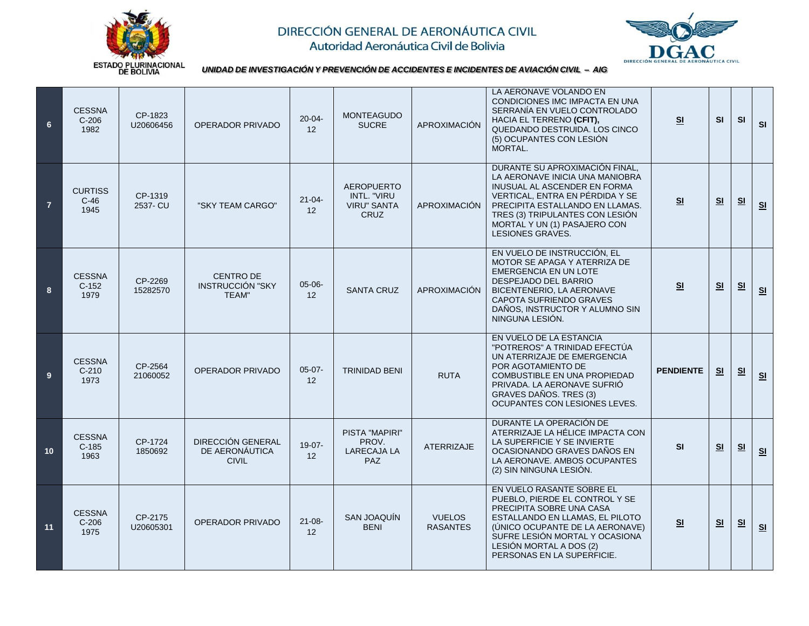



*UNIDAD DE INVESTIGACIÓN Y PREVENCIÓN DE ACCIDENTES E INCIDENTES DE AVIACIÓN CIVIL – AIG*

| $6\phantom{1}$  | <b>CESSNA</b><br>$C-206$<br>1982 | CP-1823<br>U20606456 | OPERADOR PRIVADO                                           | $20 - 04 -$<br>12 | <b>MONTEAGUDO</b><br><b>SUCRE</b>                                     | APROXIMACIÓN                     | LA AERONAVE VOLANDO EN<br>CONDICIONES IMC IMPACTA EN UNA<br>SERRANÍA EN VUELO CONTROLADO<br>HACIA EL TERRENO (CFIT),<br>QUEDANDO DESTRUIDA. LOS CINCO<br>(5) OCUPANTES CON LESIÓN<br>MORTAL.                                                                   | S <sub>1</sub>   | <b>SI</b>      | <b>SI</b>      | SI             |
|-----------------|----------------------------------|----------------------|------------------------------------------------------------|-------------------|-----------------------------------------------------------------------|----------------------------------|----------------------------------------------------------------------------------------------------------------------------------------------------------------------------------------------------------------------------------------------------------------|------------------|----------------|----------------|----------------|
| $\overline{7}$  | <b>CURTISS</b><br>$C-46$<br>1945 | CP-1319<br>2537- CU  | "SKY TEAM CARGO"                                           | $21 - 04$<br>12   | <b>AEROPUERTO</b><br>INTL. "VIRU<br><b>VIRU" SANTA</b><br><b>CRUZ</b> | APROXIMACIÓN                     | DURANTE SU APROXIMACIÓN FINAL,<br>LA AERONAVE INICIA UNA MANIOBRA<br>INUSUAL AL ASCENDER EN FORMA<br>VERTICAL. ENTRA EN PÉRDIDA Y SE<br>PRECIPITA ESTALLANDO EN LLAMAS.<br>TRES (3) TRIPULANTES CON LESIÓN<br>MORTAL Y UN (1) PASAJERO CON<br>LESIONES GRAVES. | S <sub>1</sub>   | S <sub>1</sub> | <u>ା</u>       | S <sub>1</sub> |
| 8               | <b>CESSNA</b><br>$C-152$<br>1979 | CP-2269<br>15282570  | <b>CENTRO DE</b><br>INSTRUCCIÓN "SKY<br>TEAM"              | $05-06-$<br>12    | <b>SANTA CRUZ</b>                                                     | APROXIMACIÓN                     | EN VUELO DE INSTRUCCIÓN. EL<br>MOTOR SE APAGA Y ATERRIZA DE<br><b>EMERGENCIA EN UN LOTE</b><br>DESPEJADO DEL BARRIO<br>BICENTENERIO, LA AERONAVE<br>CAPOTA SUFRIENDO GRAVES<br>DAÑOS, INSTRUCTOR Y ALUMNO SIN<br>NINGUNA LESIÓN.                               | S <sub>1</sub>   | S <sub>1</sub> | S <sub>1</sub> | S <sub>1</sub> |
| 9               | <b>CESSNA</b><br>$C-210$<br>1973 | CP-2564<br>21060052  | <b>OPERADOR PRIVADO</b>                                    | $05-07-$<br>12    | <b>TRINIDAD BENI</b>                                                  | <b>RUTA</b>                      | EN VUELO DE LA ESTANCIA<br>"POTREROS" A TRINIDAD EFECTÚA<br>UN ATERRIZAJE DE EMERGENCIA<br>POR AGOTAMIENTO DE<br>COMBUSTIBLE EN UNA PROPIEDAD<br>PRIVADA. LA AERONAVE SUFRIO<br>GRAVES DAÑOS. TRES (3)<br>OCUPANTES CON LESIONES LEVES.                        | <b>PENDIENTE</b> | S <sub>1</sub> | S <sub>1</sub> | S <sub>1</sub> |
| 10 <sup>1</sup> | <b>CESSNA</b><br>$C-185$<br>1963 | CP-1724<br>1850692   | <b>DIRECCIÓN GENERAL</b><br>DE AERONÁUTICA<br><b>CIVIL</b> | $19-07-$<br>12    | <b>PISTA "MAPIRI"</b><br>PROV.<br><b>LARECAJA LA</b><br><b>PAZ</b>    | <b>ATERRIZAJE</b>                | DURANTE LA OPERACIÓN DE<br>ATERRIZAJE LA HÉLICE IMPACTA CON<br>LA SUPERFICIE Y SE INVIERTE<br>OCASIONANDO GRAVES DAÑOS EN<br>LA AERONAVE. AMBOS OCUPANTES<br>(2) SIN NINGUNA LESIÓN.                                                                           | <b>SI</b>        | S <sub>1</sub> | S <sub>1</sub> | S <sub>1</sub> |
| 11              | <b>CESSNA</b><br>$C-206$<br>1975 | CP-2175<br>U20605301 | OPERADOR PRIVADO                                           | $21 - 08 -$<br>12 | SAN JOAQUIN<br><b>BENI</b>                                            | <b>VUELOS</b><br><b>RASANTES</b> | EN VUELO RASANTE SOBRE EL<br>PUEBLO, PIERDE EL CONTROL Y SE<br>PRECIPITA SOBRE UNA CASA<br>ESTALLANDO EN LLAMAS, EL PILOTO<br>(UNICO OCUPANTE DE LA AERONAVE)<br>SUFRE LESIÓN MORTAL Y OCASIONA<br>LESIÓN MORTAL A DOS (2)<br>PERSONAS EN LA SUPERFICIE.       | S <sub>1</sub>   | S <sub>1</sub> | S <sub>1</sub> | S <sub>1</sub> |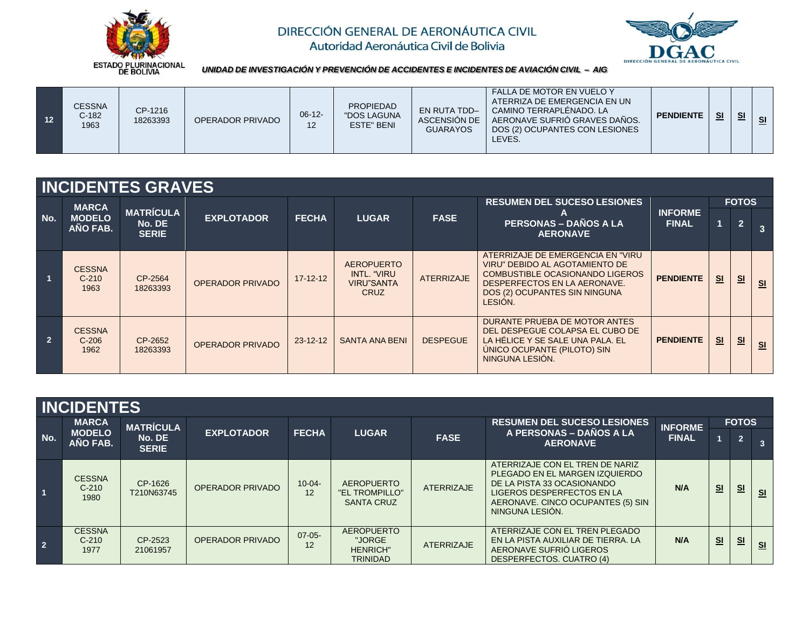



*UNIDAD DE INVESTIGACIÓN Y PREVENCIÓN DE ACCIDENTES E INCIDENTES DE AVIACIÓN CIVIL – AIG*

| 12 | <b>CESSNA</b><br>$C-182$<br>1963 | CP-1216<br>18263393 | OPERADOR PRIVADO | $06-12-$<br>$\overline{1}$ | <b>PROPIEDAD</b><br>"DOS LAGUNA<br><b>ESTE" BENI</b> | <b>EN RUTA TDD-</b><br>ASCENSIÓN DE<br><b>GUARAYOS</b> | FALLA DE MOTOR EN VUELO Y<br>ATERRIZA DE EMERGENCIA EN UN<br>CAMINO TERRAPLÉNADO. LA<br>AERONAVE SUFRIO GRAVES DAÑOS.<br>DOS (2) OCUPANTES CON LESIONES<br>LEVES. | <b>PENDIENTE</b> | S <sub>1</sub> | S <sub>1</sub> | <u>ାଣ</u> |
|----|----------------------------------|---------------------|------------------|----------------------------|------------------------------------------------------|--------------------------------------------------------|-------------------------------------------------------------------------------------------------------------------------------------------------------------------|------------------|----------------|----------------|-----------|
|----|----------------------------------|---------------------|------------------|----------------------------|------------------------------------------------------|--------------------------------------------------------|-------------------------------------------------------------------------------------------------------------------------------------------------------------------|------------------|----------------|----------------|-----------|

|                |                                           | <b>INCIDENTES GRAVES</b>                   |                         |                |                                                                      |                   |                                                                                                                                                                                     |                                |    |                                |                |
|----------------|-------------------------------------------|--------------------------------------------|-------------------------|----------------|----------------------------------------------------------------------|-------------------|-------------------------------------------------------------------------------------------------------------------------------------------------------------------------------------|--------------------------------|----|--------------------------------|----------------|
| No.            | <b>MARCA</b><br><b>MODELO</b><br>AÑO FAB. | <b>MATRÍCULA</b><br>No. DE<br><b>SERIE</b> | <b>EXPLOTADOR</b>       | <b>FECHA</b>   | <b>LUGAR</b>                                                         | <b>FASE</b>       | <b>RESUMEN DEL SUCESO LESIONES</b><br><b>PERSONAS – DAÑOS A LA</b><br><b>AERONAVE</b>                                                                                               | <b>INFORME</b><br><b>FINAL</b> |    | <b>FOTOS</b><br>$\overline{2}$ | 3              |
|                | <b>CESSNA</b><br>$C-210$<br>1963          | CP-2564<br>18263393                        | <b>OPERADOR PRIVADO</b> | $17 - 12 - 12$ | <b>AEROPUERTO</b><br>INTL. "VIRU<br><b>VIRU"SANTA</b><br><b>CRUZ</b> | <b>ATERRIZAJE</b> | ATERRIZAJE DE EMERGENCIA EN "VIRU"<br>VIRU" DEBIDO AL AGOTAMIENTO DE<br>COMBUSTIBLE OCASIONANDO LIGEROS<br>DESPERFECTOS EN LA AERONAVE.<br>DOS (2) OCUPANTES SIN NINGUNA<br>LESION. | <b>PENDIENTE</b>               | S1 | S <sub>1</sub>                 | S <sub>1</sub> |
| $\overline{2}$ | <b>CESSNA</b><br>$C-206$<br>1962          | CP-2652<br>18263393                        | <b>OPERADOR PRIVADO</b> | $23 - 12 - 12$ | <b>SANTA ANA BENI</b>                                                | <b>DESPEGUE</b>   | DURANTE PRUEBA DE MOTOR ANTES<br>DEL DESPEGUE COLAPSA EL CUBO DE<br>LA HÉLICE Y SE SALE UNA PALA. EL<br>UNICO OCUPANTE (PILOTO) SIN<br>NINGUNA LESIÓN.                              | <b>PENDIENTE</b>               | S1 | S <sub>1</sub>                 | S <sub>1</sub> |

|            | <b>INCIDENTES</b>                         |                                            |                         |                   |                                                                   |                   |                                                                                                                                                                                              |                                |                |                                |                |  |  |
|------------|-------------------------------------------|--------------------------------------------|-------------------------|-------------------|-------------------------------------------------------------------|-------------------|----------------------------------------------------------------------------------------------------------------------------------------------------------------------------------------------|--------------------------------|----------------|--------------------------------|----------------|--|--|
| No.        | <b>MARCA</b><br><b>MODELO</b><br>AÑO FAB. | <b>MATRÍCULA</b><br>No. DE<br><b>SERIE</b> | <b>EXPLOTADOR</b>       | <b>FECHA</b>      | <b>LUGAR</b>                                                      | <b>FASE</b>       | <b>RESUMEN DEL SUCESO LESIONES</b><br>A PERSONAS - DAÑOS A LA<br><b>AERONAVE</b>                                                                                                             | <b>INFORME</b><br><b>FINAL</b> |                | <b>FOTOS</b><br>$\overline{2}$ |                |  |  |
|            | <b>CESSNA</b><br>$C-210$<br>1980          | CP-1626<br>T210N63745                      | <b>OPERADOR PRIVADO</b> | $10 - 04 -$<br>12 | <b>AEROPUERTO</b><br>"EL TROMPILLO"<br><b>SANTA CRUZ</b>          | <b>ATERRIZAJE</b> | ATERRIZAJE CON EL TREN DE NARIZ<br>PLEGADO EN EL MARGEN IZQUIERDO<br>DE LA PISTA 33 OCASIONANDO<br><b>LIGEROS DESPERFECTOS EN LA</b><br>AERONAVE. CINCO OCUPANTES (5) SIN<br>NINGUNA LESIÓN. | N/A                            | S <sub>1</sub> | S <sub>1</sub>                 | S <sub>1</sub> |  |  |
| $\sqrt{2}$ | <b>CESSNA</b><br>$C-210$<br>1977          | CP-2523<br>21061957                        | OPERADOR PRIVADO        | $07 - 05 -$<br>12 | <b>AEROPUERTO</b><br>"JORGE<br><b>HENRICH"</b><br><b>TRINIDAD</b> | <b>ATERRIZAJE</b> | ATERRIZAJE CON EL TREN PLEGADO<br>EN LA PISTA AUXILIAR DE TIERRA. LA<br>AERONAVE SUFRIO LIGEROS<br>DESPERFECTOS. CUATRO (4)                                                                  | N/A                            | S <sub>1</sub> | S <sub>1</sub>                 | S <sub>1</sub> |  |  |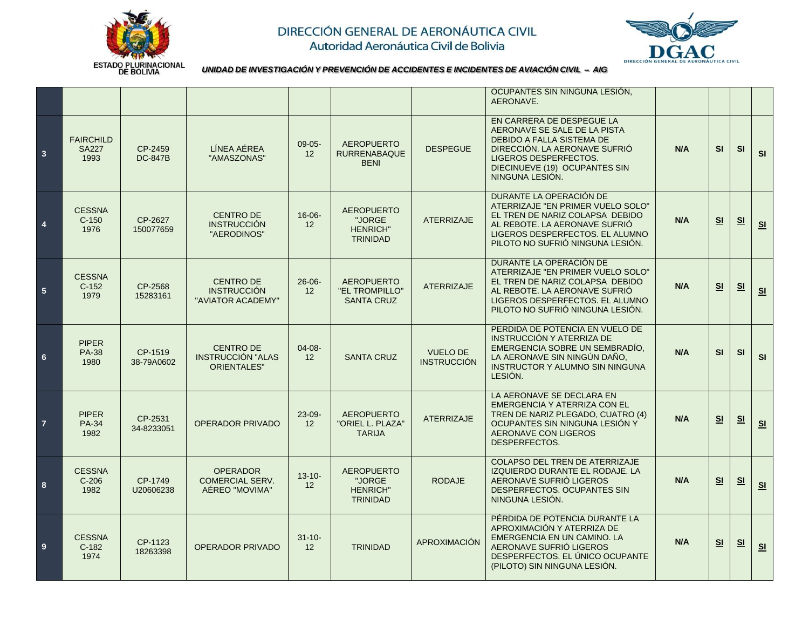



*UNIDAD DE INVESTIGACIÓN Y PREVENCIÓN DE ACCIDENTES E INCIDENTES DE AVIACIÓN CIVIL – AIG*

|                         |                                          |                           |                                                                    |                   |                                                                   |                                       | OCUPANTES SIN NINGUNA LESIÓN,<br>AERONAVE.                                                                                                                                                                  |     |                |           |                |
|-------------------------|------------------------------------------|---------------------------|--------------------------------------------------------------------|-------------------|-------------------------------------------------------------------|---------------------------------------|-------------------------------------------------------------------------------------------------------------------------------------------------------------------------------------------------------------|-----|----------------|-----------|----------------|
| $\overline{\mathbf{3}}$ | <b>FAIRCHILD</b><br><b>SA227</b><br>1993 | CP-2459<br><b>DC-847B</b> | LÍNEA AÉREA<br>"AMASZONAS"                                         | $09 - 05 -$<br>12 | <b>AEROPUERTO</b><br><b>RURRENABAQUE</b><br><b>BENI</b>           | <b>DESPEGUE</b>                       | EN CARRERA DE DESPEGUE LA<br>AERONAVE SE SALE DE LA PISTA<br><b>DEBIDO A FALLA SISTEMA DE</b><br>DIRECCIÓN. LA AERONAVE SUFRIÓ<br>LIGEROS DESPERFECTOS.<br>DIECINUEVE (19) OCUPANTES SIN<br>NINGUNA LESIÓN. | N/A | SI             | SI        | SI             |
| $\overline{4}$          | <b>CESSNA</b><br>$C-150$<br>1976         | CP-2627<br>150077659      | <b>CENTRO DE</b><br><b>INSTRUCCIÓN</b><br>"AERODINOS"              | $16 - 06 -$<br>12 | <b>AEROPUERTO</b><br>"JORGE<br><b>HENRICH"</b><br><b>TRINIDAD</b> | <b>ATERRIZAJE</b>                     | DURANTE LA OPERACIÓN DE<br>ATERRIZAJE "EN PRIMER VUELO SOLO"<br>EL TREN DE NARIZ COLAPSA DEBIDO<br>AL REBOTE. LA AERONAVE SUFRIÓ<br>LIGEROS DESPERFECTOS. EL ALUMNO<br>PILOTO NO SUFRIÓ NINGUNA LESIÓN.     | N/A | S <sub>1</sub> | S1        | S <sub>1</sub> |
| 5 <sub>5</sub>          | <b>CESSNA</b><br>$C-152$<br>1979         | CP-2568<br>15283161       | <b>CENTRO DE</b><br><b>INSTRUCCIÓN</b><br>"AVIATOR ACADEMY"        | $26 - 06 -$<br>12 | <b>AEROPUERTO</b><br>"EL TROMPILLO"<br><b>SANTA CRUZ</b>          | <b>ATERRIZAJE</b>                     | DURANTE LA OPERACIÓN DE<br>ATERRIZAJE "EN PRIMER VUELO SOLO"<br>EL TREN DE NARIZ COLAPSA DEBIDO<br>AL REBOTE. LA AERONAVE SUFRIÓ<br>LIGEROS DESPERFECTOS. EL ALUMNO<br>PILOTO NO SUFRIÓ NINGUNA LESIÓN.     | N/A | S <sub>1</sub> | <b>SI</b> | SL             |
| $6\phantom{.}6$         | <b>PIPER</b><br><b>PA-38</b><br>1980     | CP-1519<br>38-79A0602     | <b>CENTRO DE</b><br><b>INSTRUCCIÓN "ALAS</b><br><b>ORIENTALES"</b> | 04-08-<br>12      | <b>SANTA CRUZ</b>                                                 | <b>VUELO DE</b><br><b>INSTRUCCIÓN</b> | PERDIDA DE POTENCIA EN VUELO DE<br>INSTRUCCIÓN Y ATERRIZA DE<br>EMERGENCIA SOBRE UN SEMBRADÍO.<br>LA AERONAVE SIN NINGÚN DAÑO,<br><b>INSTRUCTOR Y ALUMNO SIN NINGUNA</b><br>LESIÓN.                         | N/A | SI             | SI        | SI             |
| $\overline{7}$          | <b>PIPER</b><br><b>PA-34</b><br>1982     | CP-2531<br>34-8233051     | <b>OPERADOR PRIVADO</b>                                            | $23 - 09 -$<br>12 | <b>AEROPUERTO</b><br>"ORIEL L. PLAZA"<br><b>TARIJA</b>            | <b>ATERRIZAJE</b>                     | LA AERONAVE SE DECLARA EN<br>EMERGENCIA Y ATERRIZA CON EL<br>TREN DE NARIZ PLEGADO, CUATRO (4)<br>OCUPANTES SIN NINGUNA LESIÓN Y<br>AERONAVE CON LIGEROS<br>DESPERFECTOS.                                   | N/A | S <sub>1</sub> | S1        | S1             |
| 8                       | <b>CESSNA</b><br>$C-206$<br>1982         | CP-1749<br>U20606238      | <b>OPERADOR</b><br><b>COMERCIAL SERV.</b><br>AÉREO "MOVIMA"        | $13 - 10 -$<br>12 | <b>AEROPUERTO</b><br>"JORGE<br><b>HENRICH"</b><br><b>TRINIDAD</b> | <b>RODAJE</b>                         | COLAPSO DEL TREN DE ATERRIZAJE<br>IZQUIERDO DURANTE EL RODAJE. LA<br>AERONAVE SUFRIO LIGEROS<br>DESPERFECTOS, OCUPANTES SIN<br>NINGUNA LESIÓN.                                                              | N/A | S <sub>1</sub> | S1        | S <sub>1</sub> |
| $\overline{\mathbf{9}}$ | <b>CESSNA</b><br>$C-182$<br>1974         | CP-1123<br>18263398       | <b>OPERADOR PRIVADO</b>                                            | $31 - 10 -$<br>12 | <b>TRINIDAD</b>                                                   | APROXIMACIÓN                          | PÉRDIDA DE POTENCIA DURANTE LA<br>APROXIMACIÓN Y ATERRIZA DE<br>EMERGENCIA EN UN CAMINO. LA<br>AERONAVE SUFRIÓ LIGEROS<br>DESPERFECTOS. EL ÚNICO OCUPANTE<br>(PILOTO) SIN NINGUNA LESIÓN.                   | N/A | SI             | S1        | SL             |